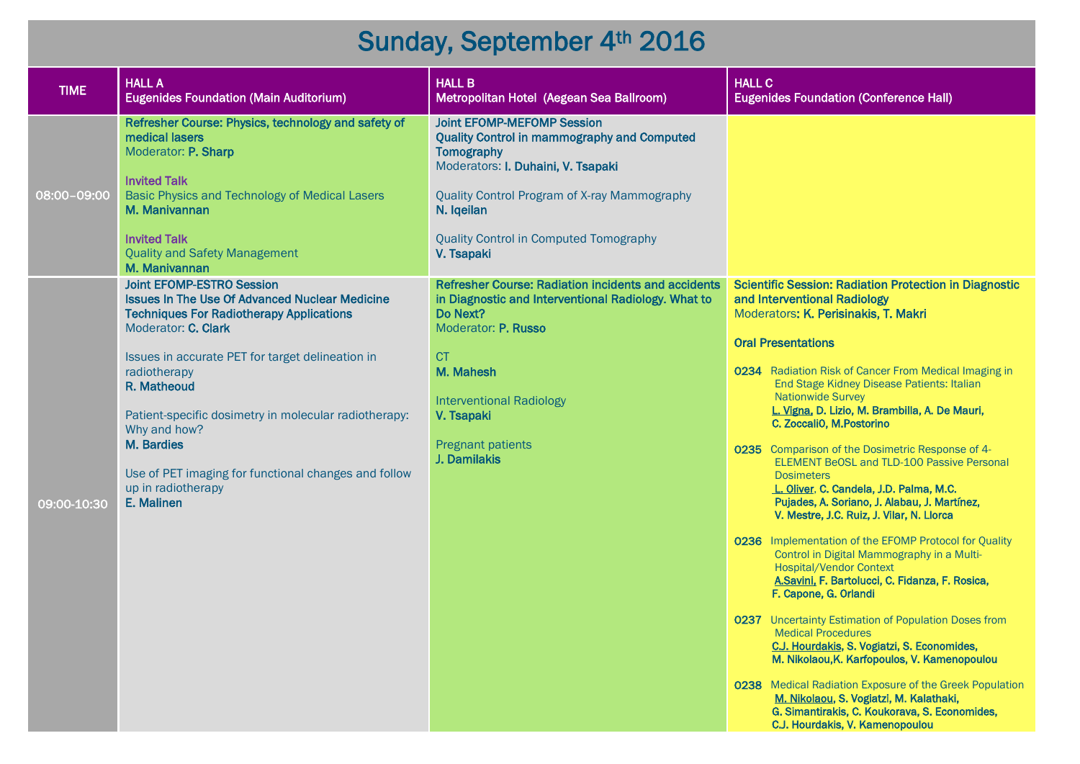## Sunday, September 4th 2016

| <b>TIME</b> | <b>HALL A</b><br><b>Eugenides Foundation (Main Auditorium)</b>                                                                                                                                                                                                                                                                                                                                                                            | <b>HALL B</b><br>Metropolitan Hotel (Aegean Sea Ballroom)                                                                                                                                                                                                                | <b>HALL C</b><br><b>Eugenides Foundation (Conference Hall)</b>                                                                                                                                                                                                                                                                                                                                                                                                                                                                                                                                                                                                                                                                                                                                                                                                                                                                                                                                                                                                                                                                                                                                                                                                |
|-------------|-------------------------------------------------------------------------------------------------------------------------------------------------------------------------------------------------------------------------------------------------------------------------------------------------------------------------------------------------------------------------------------------------------------------------------------------|--------------------------------------------------------------------------------------------------------------------------------------------------------------------------------------------------------------------------------------------------------------------------|---------------------------------------------------------------------------------------------------------------------------------------------------------------------------------------------------------------------------------------------------------------------------------------------------------------------------------------------------------------------------------------------------------------------------------------------------------------------------------------------------------------------------------------------------------------------------------------------------------------------------------------------------------------------------------------------------------------------------------------------------------------------------------------------------------------------------------------------------------------------------------------------------------------------------------------------------------------------------------------------------------------------------------------------------------------------------------------------------------------------------------------------------------------------------------------------------------------------------------------------------------------|
| 08:00-09:00 | Refresher Course: Physics, technology and safety of<br>medical lasers<br>Moderator: P. Sharp<br><b>Invited Talk</b><br>Basic Physics and Technology of Medical Lasers<br>M. Manivannan<br><b>Invited Talk</b><br><b>Quality and Safety Management</b><br>M. Manivannan                                                                                                                                                                    | <b>Joint EFOMP-MEFOMP Session</b><br><b>Quality Control in mammography and Computed</b><br>Tomography<br>Moderators: I. Duhaini, V. Tsapaki<br>Quality Control Program of X-ray Mammography<br>N. Iqeilan<br><b>Quality Control in Computed Tomography</b><br>V. Tsapaki |                                                                                                                                                                                                                                                                                                                                                                                                                                                                                                                                                                                                                                                                                                                                                                                                                                                                                                                                                                                                                                                                                                                                                                                                                                                               |
| 09:00-10:30 | <b>Joint EFOMP-ESTRO Session</b><br><b>Issues In The Use Of Advanced Nuclear Medicine</b><br><b>Techniques For Radiotherapy Applications</b><br>Moderator: C. Clark<br>Issues in accurate PET for target delineation in<br>radiotherapy<br>R. Matheoud<br>Patient-specific dosimetry in molecular radiotherapy:<br>Why and how?<br>M. Bardies<br>Use of PET imaging for functional changes and follow<br>up in radiotherapy<br>E. Malinen | Refresher Course: Radiation incidents and accidents<br>in Diagnostic and Interventional Radiology. What to<br>Do Next?<br>Moderator: P. Russo<br><b>CT</b><br>M. Mahesh<br><b>Interventional Radiology</b><br>V. Tsapaki<br><b>Pregnant patients</b><br>J. Damilakis     | <b>Scientific Session: Radiation Protection in Diagnostic</b><br>and Interventional Radiology<br>Moderators: K. Perisinakis, T. Makri<br><b>Oral Presentations</b><br>0234 Radiation Risk of Cancer From Medical Imaging in<br>End Stage Kidney Disease Patients: Italian<br><b>Nationwide Survey</b><br>L. Vigna, D. Lizio, M. Brambilla, A. De Mauri,<br>C. ZoccaliO, M. Postorino<br>0235 Comparison of the Dosimetric Response of 4-<br><b>ELEMENT BeOSL and TLD-100 Passive Personal</b><br><b>Dosimeters</b><br>L. Oliver, C. Candela, J.D. Palma, M.C.<br>Pujades, A. Soriano, J. Alabau, J. Martínez,<br>V. Mestre, J.C. Ruiz, J. Vilar, N. Llorca<br>0236 Implementation of the EFOMP Protocol for Quality<br>Control in Digital Mammography in a Multi-<br><b>Hospital/Vendor Context</b><br>A.Savini, F. Bartolucci, C. Fidanza, F. Rosica,<br>F. Capone, G. Orlandi<br>0237 Uncertainty Estimation of Population Doses from<br><b>Medical Procedures</b><br>C.J. Hourdakis, S. Vogiatzi, S. Economides,<br>M. Nikolaou, K. Karfopoulos, V. Kamenopoulou<br>0238 Medical Radiation Exposure of the Greek Population<br>M. Nikolaou, S. Vogiatzi, M. Kalathaki,<br>G. Simantirakis, C. Koukorava, S. Economides,<br>C.J. Hourdakis, V. Kamenopoulou |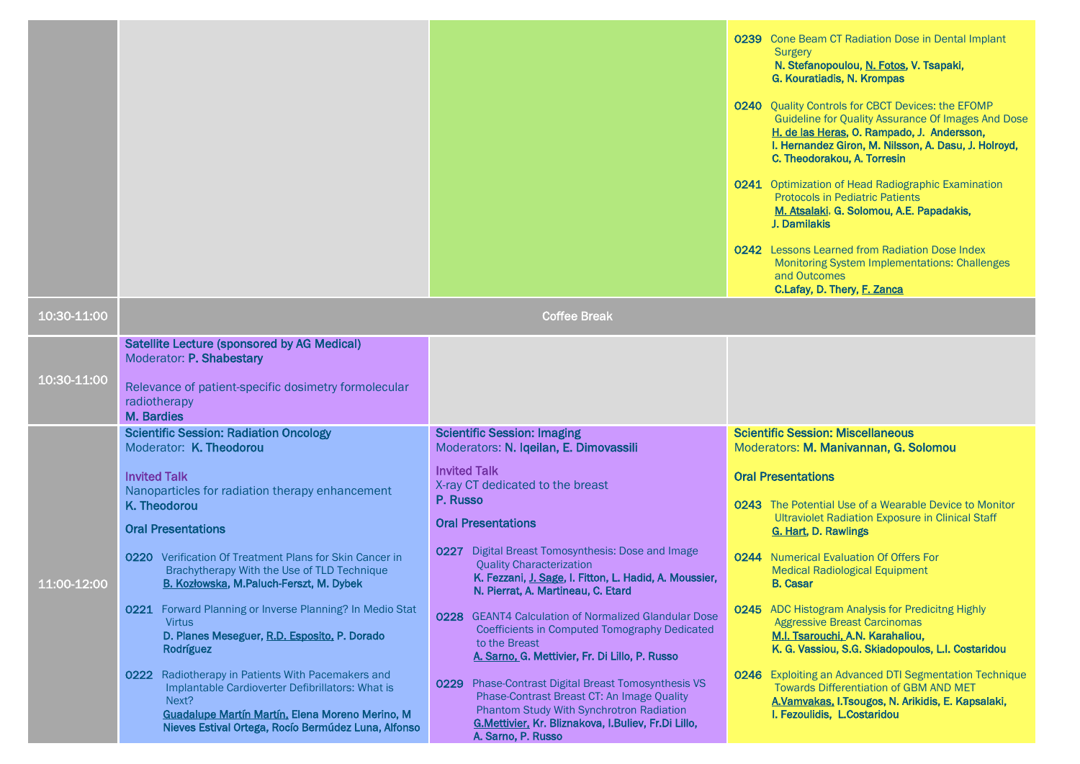|             |                                                                                                                                                                                                                                                                                                                                                                                                                                                                                                                                                                                                                                                                                                                            |                                                                                                                                                                                                                                                                                                                                                                                                                                                                                                                                                                                                                                                                                                                                                                                    | 0239 Cone Beam CT Radiation Dose in Dental Implant<br>Surgery<br>N. Stefanopoulou, N. Fotos, V. Tsapaki,<br>G. Kouratiadis, N. Krompas<br><b>0240</b> Quality Controls for CBCT Devices: the EFOMP<br>Guideline for Quality Assurance Of Images And Dose<br>H. de las Heras, O. Rampado, J. Andersson,<br>I. Hernandez Giron, M. Nilsson, A. Dasu, J. Holroyd,<br>C. Theodorakou, A. Torresin<br>0241 Optimization of Head Radiographic Examination<br><b>Protocols in Pediatric Patients</b><br>M. Atsalaki, G. Solomou, A.E. Papadakis,<br>J. Damilakis<br><b>0242</b> Lessons Learned from Radiation Dose Index<br><b>Monitoring System Implementations: Challenges</b><br>and Outcomes<br>C.Lafay, D. Thery, F. Zanca                                     |
|-------------|----------------------------------------------------------------------------------------------------------------------------------------------------------------------------------------------------------------------------------------------------------------------------------------------------------------------------------------------------------------------------------------------------------------------------------------------------------------------------------------------------------------------------------------------------------------------------------------------------------------------------------------------------------------------------------------------------------------------------|------------------------------------------------------------------------------------------------------------------------------------------------------------------------------------------------------------------------------------------------------------------------------------------------------------------------------------------------------------------------------------------------------------------------------------------------------------------------------------------------------------------------------------------------------------------------------------------------------------------------------------------------------------------------------------------------------------------------------------------------------------------------------------|---------------------------------------------------------------------------------------------------------------------------------------------------------------------------------------------------------------------------------------------------------------------------------------------------------------------------------------------------------------------------------------------------------------------------------------------------------------------------------------------------------------------------------------------------------------------------------------------------------------------------------------------------------------------------------------------------------------------------------------------------------------|
| 10:30-11:00 |                                                                                                                                                                                                                                                                                                                                                                                                                                                                                                                                                                                                                                                                                                                            | <b>Coffee Break</b>                                                                                                                                                                                                                                                                                                                                                                                                                                                                                                                                                                                                                                                                                                                                                                |                                                                                                                                                                                                                                                                                                                                                                                                                                                                                                                                                                                                                                                                                                                                                               |
| 10:30-11:00 | Satellite Lecture (sponsored by AG Medical)<br>Moderator: P. Shabestary<br>Relevance of patient-specific dosimetry formolecular<br>radiotherapy<br><b>M. Bardies</b>                                                                                                                                                                                                                                                                                                                                                                                                                                                                                                                                                       |                                                                                                                                                                                                                                                                                                                                                                                                                                                                                                                                                                                                                                                                                                                                                                                    |                                                                                                                                                                                                                                                                                                                                                                                                                                                                                                                                                                                                                                                                                                                                                               |
| 11:00-12:00 | <b>Scientific Session: Radiation Oncology</b><br>Moderator: K. Theodorou<br><b>Invited Talk</b><br>Nanoparticles for radiation therapy enhancement<br>K. Theodorou<br><b>Oral Presentations</b><br>0220 Verification Of Treatment Plans for Skin Cancer in<br>Brachytherapy With the Use of TLD Technique<br>B. Kozłowska, M.Paluch-Ferszt, M. Dybek<br>0221 Forward Planning or Inverse Planning? In Medio Stat<br><b>Virtus</b><br>D. Planes Meseguer, R.D. Esposito, P. Dorado<br>Rodríguez<br>0222 Radiotherapy in Patients With Pacemakers and<br>Implantable Cardioverter Defibrillators: What is<br>Next?<br>Guadalupe Martín Martín, Elena Moreno Merino, M<br>Nieves Estival Ortega, Rocío Bermúdez Luna, Alfonso | <b>Scientific Session: Imaging</b><br>Moderators: N. Iqeilan, E. Dimovassili<br><b>Invited Talk</b><br>X-ray CT dedicated to the breast<br>P. Russo<br><b>Oral Presentations</b><br>0227 Digital Breast Tomosynthesis: Dose and Image<br><b>Quality Characterization</b><br>K. Fezzani, J. Sage, I. Fitton, L. Hadid, A. Moussier,<br>N. Pierrat, A. Martineau, C. Etard<br>0228 GEANT4 Calculation of Normalized Glandular Dose<br>Coefficients in Computed Tomography Dedicated<br>to the Breast<br>A. Sarno, G. Mettivier, Fr. Di Lillo, P. Russo<br>0229 Phase-Contrast Digital Breast Tomosynthesis VS<br>Phase-Contrast Breast CT: An Image Quality<br>Phantom Study With Synchrotron Radiation<br>G.Mettivier, Kr. Bliznakova, I.Buliev, Fr.Di Lillo,<br>A. Sarno, P. Russo | <b>Scientific Session: Miscellaneous</b><br>Moderators: M. Manivannan, G. Solomou<br><b>Oral Presentations</b><br>0243 The Potential Use of a Wearable Device to Monitor<br><b>Ultraviolet Radiation Exposure in Clinical Staff</b><br>G. Hart, D. Rawlings<br>0244 Numerical Evaluation Of Offers For<br><b>Medical Radiological Equipment</b><br><b>B.</b> Casar<br><b>0245</b> ADC Histogram Analysis for Predicitng Highly<br><b>Aggressive Breast Carcinomas</b><br>M.I. Tsarouchi, A.N. Karahaliou,<br>K. G. Vassiou, S.G. Skiadopoulos, L.I. Costaridou<br>0246 Exploiting an Advanced DTI Segmentation Technique<br><b>Towards Differentiation of GBM AND MET</b><br>A.Vamvakas, I.Tsougos, N. Arikidis, E. Kapsalaki,<br>I. Fezoulidis, L.Costaridou |